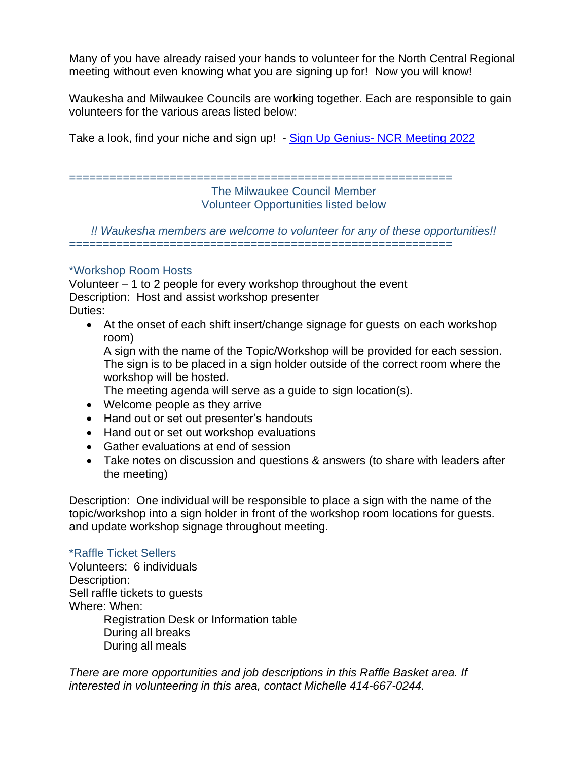Many of you have already raised your hands to volunteer for the North Central Regional meeting without even knowing what you are signing up for! Now you will know!

Waukesha and Milwaukee Councils are working together. Each are responsible to gain volunteers for the various areas listed below:

Take a look, find your niche and sign up! - Sign Up Genius- [NCR Meeting 2022](https://www.signupgenius.com/go/5080d45adac2da6fb6-2022)

========================================================= The Milwaukee Council Member Volunteer Opportunities listed below

*!! Waukesha members are welcome to volunteer for any of these opportunities!!* =========================================================

## \*Workshop Room Hosts

Volunteer – 1 to 2 people for every workshop throughout the event Description: Host and assist workshop presenter Duties:

• At the onset of each shift insert/change signage for guests on each workshop room)

A sign with the name of the Topic/Workshop will be provided for each session. The sign is to be placed in a sign holder outside of the correct room where the workshop will be hosted.

The meeting agenda will serve as a guide to sign location(s).

- Welcome people as they arrive
- Hand out or set out presenter's handouts
- Hand out or set out workshop evaluations
- Gather evaluations at end of session
- Take notes on discussion and questions & answers (to share with leaders after the meeting)

Description: One individual will be responsible to place a sign with the name of the topic/workshop into a sign holder in front of the workshop room locations for guests. and update workshop signage throughout meeting.

## \*Raffle Ticket Sellers

Volunteers: 6 individuals Description: Sell raffle tickets to guests Where: When: Registration Desk or Information table During all breaks During all meals

*There are more opportunities and job descriptions in this Raffle Basket area. If interested in volunteering in this area, contact Michelle 414-667-0244.*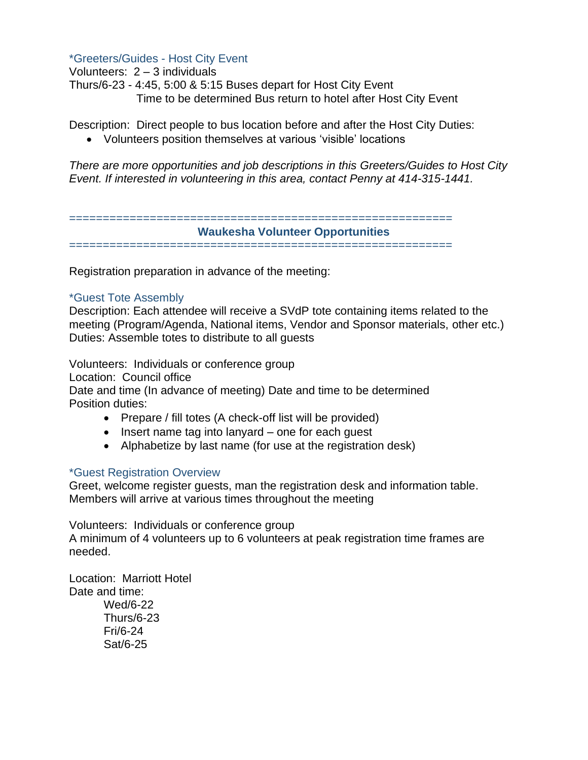\*Greeters/Guides - Host City Event

Volunteers: 2 – 3 individuals

Thurs/6-23 - 4:45, 5:00 & 5:15 Buses depart for Host City Event

Time to be determined Bus return to hotel after Host City Event

Description: Direct people to bus location before and after the Host City Duties:

• Volunteers position themselves at various 'visible' locations

*There are more opportunities and job descriptions in this Greeters/Guides to Host City Event. If interested in volunteering in this area, contact Penny at 414-315-1441.*

========================================================= **Waukesha Volunteer Opportunities**

=========================================================

Registration preparation in advance of the meeting:

# \*Guest Tote Assembly

Description: Each attendee will receive a SVdP tote containing items related to the meeting (Program/Agenda, National items, Vendor and Sponsor materials, other etc.) Duties: Assemble totes to distribute to all guests

Volunteers: Individuals or conference group

Location: Council office

Date and time (In advance of meeting) Date and time to be determined Position duties:

- Prepare / fill totes (A check-off list will be provided)
- Insert name tag into lanyard one for each guest
- Alphabetize by last name (for use at the registration desk)

# \*Guest Registration Overview

Greet, welcome register guests, man the registration desk and information table. Members will arrive at various times throughout the meeting

Volunteers: Individuals or conference group

A minimum of 4 volunteers up to 6 volunteers at peak registration time frames are needed.

Location: Marriott Hotel Date and time: Wed/6-22 Thurs/6-23 Fri/6-24

Sat/6-25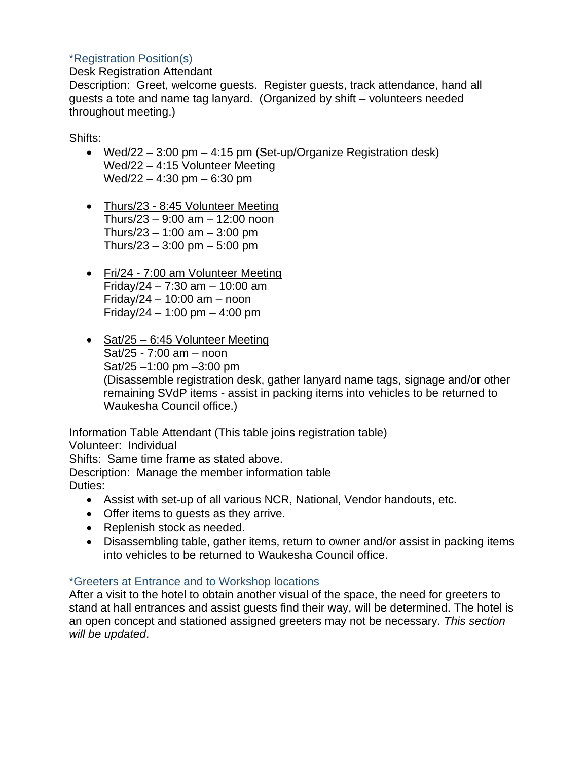# \*Registration Position(s)

Desk Registration Attendant

Description: Greet, welcome guests. Register guests, track attendance, hand all guests a tote and name tag lanyard. (Organized by shift – volunteers needed throughout meeting.)

Shifts:

- Wed/22 3:00 pm 4:15 pm (Set-up/Organize Registration desk) Wed/22 – 4:15 Volunteer Meeting Wed/22 – 4:30 pm – 6:30 pm
- Thurs/23 8:45 Volunteer Meeting Thurs/23 – 9:00 am – 12:00 noon Thurs/23 – 1:00 am – 3:00 pm Thurs/23 – 3:00 pm – 5:00 pm
- Fri/24 7:00 am Volunteer Meeting Friday/24 – 7:30 am – 10:00 am Friday/24  $-$  10:00 am  $-$  noon Friday/24 – 1:00 pm – 4:00 pm
- Sat/25 6:45 Volunteer Meeting Sat/25 - 7:00 am – noon Sat/25 –1:00 pm –3:00 pm (Disassemble registration desk, gather lanyard name tags, signage and/or other remaining SVdP items - assist in packing items into vehicles to be returned to Waukesha Council office.)

Information Table Attendant (This table joins registration table) Volunteer: Individual Shifts: Same time frame as stated above. Description: Manage the member information table Duties:

- Assist with set-up of all various NCR, National, Vendor handouts, etc.
- Offer items to guests as they arrive.
- Replenish stock as needed.
- Disassembling table, gather items, return to owner and/or assist in packing items into vehicles to be returned to Waukesha Council office.

## \*Greeters at Entrance and to Workshop locations

After a visit to the hotel to obtain another visual of the space, the need for greeters to stand at hall entrances and assist guests find their way, will be determined. The hotel is an open concept and stationed assigned greeters may not be necessary. *This section will be updated*.